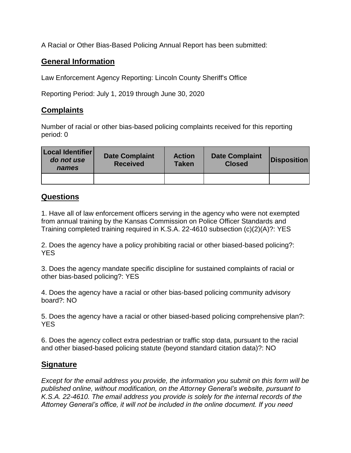A Racial or Other Bias-Based Policing Annual Report has been submitted:

## **General Information**

Law Enforcement Agency Reporting: Lincoln County Sheriff's Office

Reporting Period: July 1, 2019 through June 30, 2020

## **Complaints**

Number of racial or other bias-based policing complaints received for this reporting period: 0

| Local Identifier<br>do not use<br>names | <b>Date Complaint</b><br><b>Received</b> | <b>Action</b><br><b>Taken</b> | <b>Date Complaint</b><br><b>Closed</b> | <b>Disposition</b> |
|-----------------------------------------|------------------------------------------|-------------------------------|----------------------------------------|--------------------|
|                                         |                                          |                               |                                        |                    |

## **Questions**

1. Have all of law enforcement officers serving in the agency who were not exempted from annual training by the Kansas Commission on Police Officer Standards and Training completed training required in K.S.A. 22-4610 subsection (c)(2)(A)?: YES

2. Does the agency have a policy prohibiting racial or other biased-based policing?: YES

3. Does the agency mandate specific discipline for sustained complaints of racial or other bias-based policing?: YES

4. Does the agency have a racial or other bias-based policing community advisory board?: NO

5. Does the agency have a racial or other biased-based policing comprehensive plan?: **YES** 

6. Does the agency collect extra pedestrian or traffic stop data, pursuant to the racial and other biased-based policing statute (beyond standard citation data)?: NO

## **Signature**

*Except for the email address you provide, the information you submit on this form will be published online, without modification, on the Attorney General's website, pursuant to K.S.A. 22-4610. The email address you provide is solely for the internal records of the Attorney General's office, it will not be included in the online document. If you need*